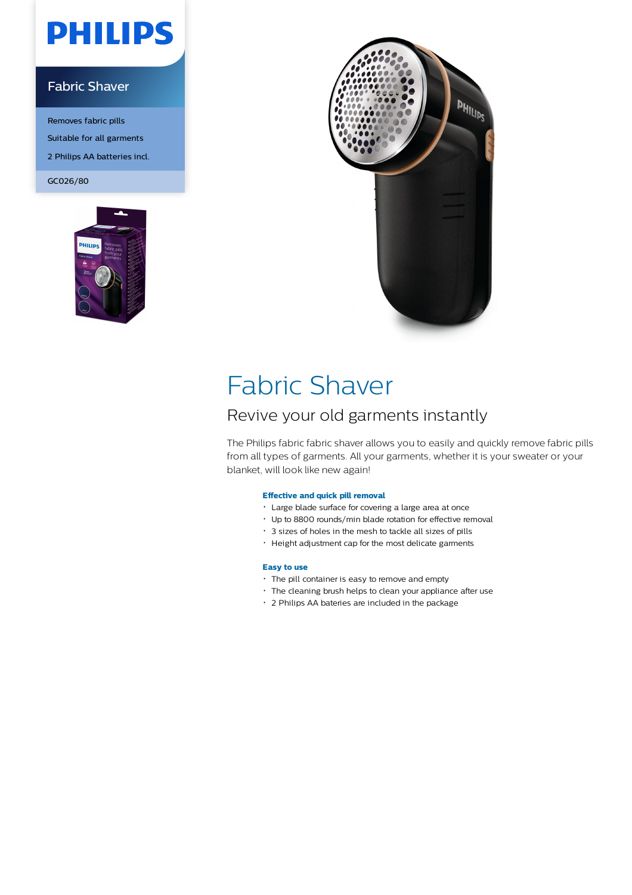# **PHILIPS**

### Fabric Shaver

Removes fabric pills Suitable for all garments 2 Philips AA batteries incl. GC026/80





### Fabric Shaver

### Revive your old garments instantly

The Philips fabric fabric shaver allows you to easily and quickly remove fabric pills from all types of garments. All your garments, whether it is your sweater or your blanket, will look like new again!

#### **Effective and quick pill removal**

- Large blade surface for covering a large area at once
- Up to 8800 rounds/min blade rotation for effective removal
- 3 sizes of holes in the mesh to tackle all sizes of pills
- Height adjustment cap for the most delicate garments

#### **Easy to use**

- The pill container is easy to remove and empty
- The cleaning brush helps to clean your appliance after use
- 2 Philips AA bateries are included in the package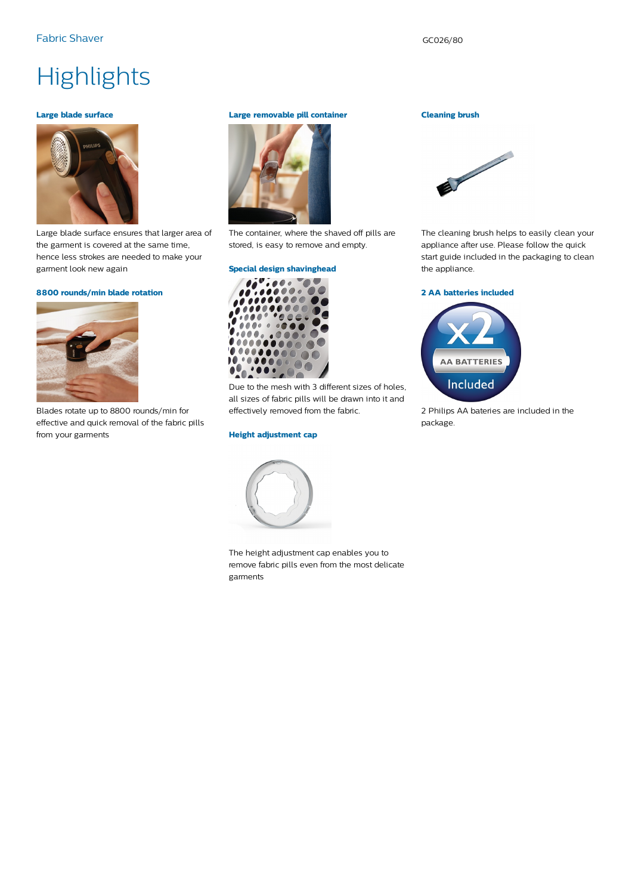## **Highlights**

#### **Large blade surface**



Large blade surface ensures that larger area of the garment is covered at the same time, hence less strokes are needed to make your garment look new again

#### **8800 rounds/min blade rotation**



Blades rotate up to 8800 rounds/min for effective and quick removal of the fabric pills from your garments

#### **Large removable pill container**



The container, where the shaved off pills are stored, is easy to remove and empty.

#### **Special design shavinghead**



Due to the mesh with 3 different sizes of holes, all sizes of fabric pills will be drawn into it and effectively removed from the fabric.

#### **Height adjustment cap**



The height adjustment cap enables you to remove fabric pills even from the most delicate garments

#### **Cleaning brush**



The cleaning brush helps to easily clean your appliance after use. Please follow the quick start guide included in the packaging to clean the appliance.

#### **2 AA batteries included**



2 Philips AA bateries are included in the package.